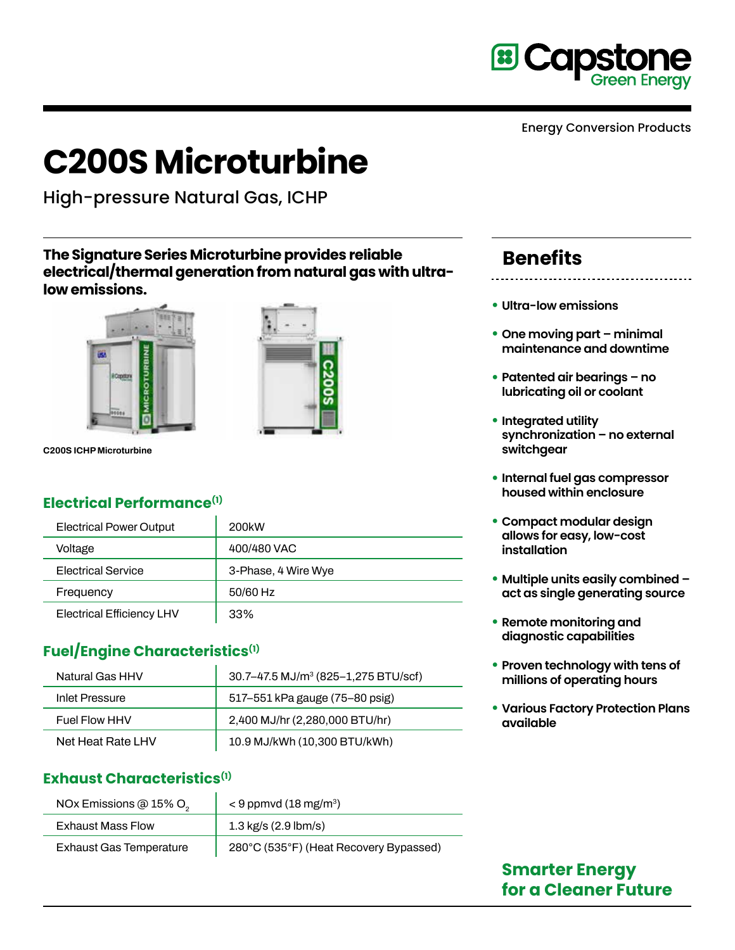

# **C200S Microturbine**

High-pressure Natural Gas, ICHP

#### **The Signature Series Microturbine provides reliable electrical/thermal generation from natural gas with ultralow emissions.**





**C200S ICHP Microturbine**

# **Electrical Performance(1)**

| <b>Electrical Power Output</b>   | 200 <sub>k</sub> w  |
|----------------------------------|---------------------|
| Voltage                          | 400/480 VAC         |
| <b>Electrical Service</b>        | 3-Phase, 4 Wire Wye |
| Frequency                        | 50/60 Hz            |
| <b>Electrical Efficiency LHV</b> | 33%                 |

# **Fuel/Engine Characteristics(1)**

| Natural Gas HHV      | 30.7–47.5 MJ/m <sup>3</sup> (825–1,275 BTU/scf) |
|----------------------|-------------------------------------------------|
| Inlet Pressure       | 517-551 kPa gauge (75-80 psig)                  |
| <b>Fuel Flow HHV</b> | 2,400 MJ/hr (2,280,000 BTU/hr)                  |
| Net Heat Rate LHV    | 10.9 MJ/kWh (10,300 BTU/kWh)                    |

## **Exhaust Characteristics(1)**

| NOx Emissions @ 15% O <sub>2</sub> | $<$ 9 ppmvd (18 mg/m <sup>3</sup> )    |
|------------------------------------|----------------------------------------|
| <b>Exhaust Mass Flow</b>           | $1.3 \text{ kg/s}$ (2.9 lbm/s)         |
| <b>Exhaust Gas Temperature</b>     | 280°C (535°F) (Heat Recovery Bypassed) |

# **Benefits**

- **Ultra-low emissions**
- **• One moving part minimal maintenance and downtime**
- **• Patented air bearings no lubricating oil or coolant**
- **• Integrated utility synchronization – no external switchgear**
- **• Internal fuel gas compressor housed within enclosure**
- **• Compact modular design allows for easy, low-cost installation**
- **• Multiple units easily combined act as single generating source**
- **• Remote monitoring and diagnostic capabilities**
- **• Proven technology with tens of millions of operating hours**
- **• Various Factory Protection Plans available**

# **Smarter Energy for a Cleaner Future**